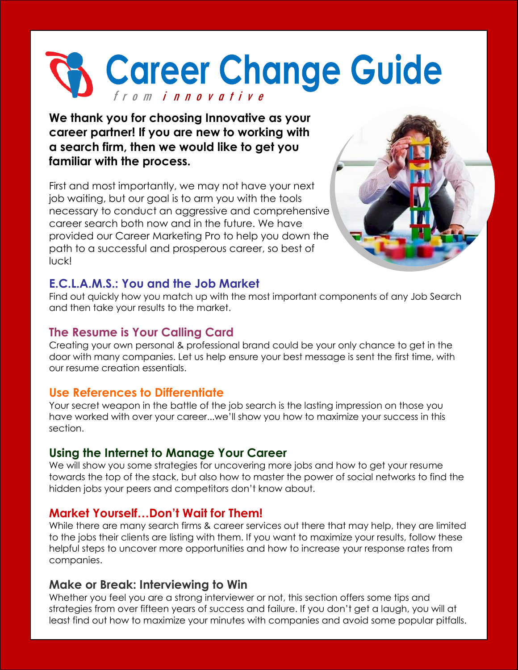# **Career Change Guide** f r o m i n n o v a t i v e

**We thank you for choosing Innovative as your career partner! If you are new to working with a search firm, then we would like to get you familiar with the process.** 

First and most importantly, we may not have your next job waiting, but our goal is to arm you with the tools necessary to conduct an aggressive and comprehensive career search both now and in the future. We have provided our Career Marketing Pro to help you down the path to a successful and prosperous career, so best of luck!



## **E.C.L.A.M.S.: You and the Job Market**

Find out quickly how you match up with the most important components of any Job Search and then take your results to the market.

### **The Resume is Your Calling Card**

Creating your own personal & professional brand could be your only chance to get in the door with many companies. Let us help ensure your best message is sent the first time, with our resume creation essentials.

### **Use References to Differentiate**

Your secret weapon in the battle of the job search is the lasting impression on those you have worked with over your career...we'll show you how to maximize your success in this section.

## **Using the Internet to Manage Your Career**

We will show you some strategies for uncovering more jobs and how to get your resume towards the top of the stack, but also how to master the power of social networks to find the hidden jobs your peers and competitors don't know about.

## **Market Yourself…Don't Wait for Them!**

While there are many search firms & career services out there that may help, they are limited to the jobs their clients are listing with them. If you want to maximize your results, follow these helpful steps to uncover more opportunities and how to increase your response rates from companies.

## **Make or Break: Interviewing to Win**

Whether you feel you are a strong interviewer or not, this section offers some tips and strategies from over fifteen years of success and failure. If you don't get a laugh, you will at least find out how to maximize your minutes with companies and avoid some popular pitfalls.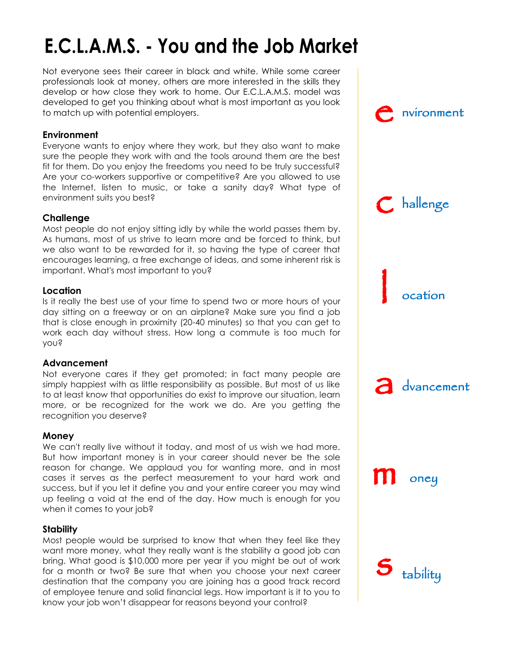## E.C.L.A.M.S. - You and the Job Market

Not everyone sees their career in black and white. While some career professionals look at money, others are more interested in the skills they develop or how close they work to home. Our E.C.L.A.M.S. model was developed to get you thinking about what is most important as you look to match up with potential employers.

#### **Environment**

Everyone wants to enjoy where they work, but they also want to make sure the people they work with and the tools around them are the best fit for them. Do you enjoy the freedoms you need to be truly successful? Are your co-workers supportive or competitive? Are you allowed to use the Internet, listen to music, or take a sanity day? What type of environment suits you best?

#### **Challenge**

Most people do not enjoy sitting idly by while the world passes them by. As humans, most of us strive to learn more and be forced to think, but we also want to be rewarded for it, so having the type of career that encourages learning, a free exchange of ideas, and some inherent risk is important. What's most important to you?

#### **Location**

Is it really the best use of your time to spend two or more hours of your day sitting on a freeway or on an airplane? Make sure you find a job that is close enough in proximity (20-40 minutes) so that you can get to work each day without stress. How long a commute is too much for you?

#### **Advancement**

Not everyone cares if they get promoted; in fact many people are simply happiest with as little responsibility as possible. But most of us like to at least know that opportunities do exist to improve our situation, learn more, or be recognized for the work we do. Are you getting the recognition you deserve?

#### **Money**

We can't really live without it today, and most of us wish we had more. But how important money is in your career should never be the sole reason for change. We applaud you for wanting more, and in most cases it serves as the perfect measurement to your hard work and success, but if you let it define you and your entire career you may wind up feeling a void at the end of the day. How much is enough for you when it comes to your job?

#### **Stability**

Most people would be surprised to know that when they feel like they want more money, what they really want is the stability a good job can bring. What good is \$10,000 more per year if you might be out of work for a month or two? Be sure that when you choose your next career destination that the company you are joining has a good track record of employee tenure and solid financial legs. How important is it to you to know your job won't disappear for reasons beyond your control?

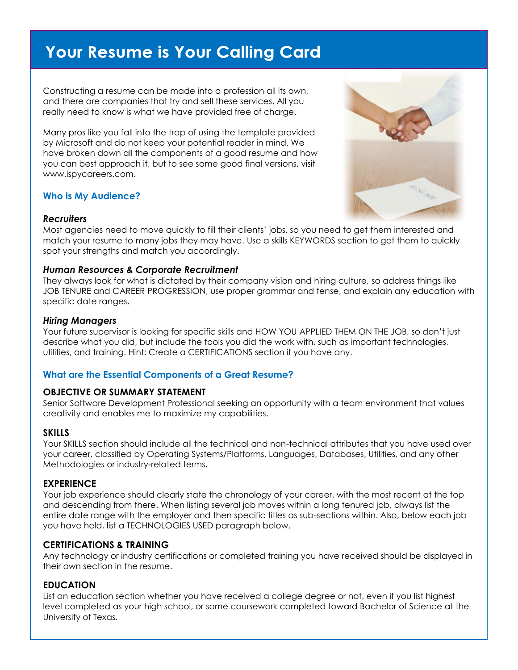## Your Resume is Your Calling Card

Constructing a resume can be made into a profession all its own, and there are companies that try and sell these services. All you really need to know is what we have provided free of charge.

Many pros like you fall into the trap of using the template provided by Microsoft and do not keep your potential reader in mind. We have broken down all the components of a good resume and how you can best approach it, but to see some good final versions, visit www.ispycareers.com.

#### **Who is My Audience?**



#### *Recruiters*

Most agencies need to move quickly to fill their clients' jobs, so you need to get them interested and match your resume to many jobs they may have. Use a skills KEYWORDS section to get them to quickly spot your strengths and match you accordingly.

#### *Human Resources & Corporate Recruitment*

They always look for what is dictated by their company vision and hiring culture, so address things like JOB TENURE and CAREER PROGRESSION, use proper grammar and tense, and explain any education with specific date ranges.

#### *Hiring Managers*

Your future supervisor is looking for specific skills and HOW YOU APPLIED THEM ON THE JOB, so don't just describe what you did, but include the tools you did the work with, such as important technologies, utilities, and training. Hint: Create a CERTIFICATIONS section if you have any.

#### **What are the Essential Components of a Great Resume?**

#### **OBJECTIVE OR SUMMARY STATEMENT**

Senior Software Development Professional seeking an opportunity with a team environment that values creativity and enables me to maximize my capabilities.

#### **SKILLS**

Your SKILLS section should include all the technical and non-technical attributes that you have used over your career, classified by Operating Systems/Platforms, Languages, Databases, Utilities, and any other Methodologies or industry-related terms.

#### **EXPERIENCE**

Your job experience should clearly state the chronology of your career, with the most recent at the top and descending from there. When listing several job moves within a long tenured job, always list the entire date range with the employer and then specific titles as sub-sections within. Also, below each job you have held, list a TECHNOLOGIES USED paragraph below.

#### **CERTIFICATIONS & TRAINING**

Any technology or industry certifications or completed training you have received should be displayed in their own section in the resume.

#### **EDUCATION**

List an education section whether you have received a college degree or not, even if you list highest level completed as your high school, or some coursework completed toward Bachelor of Science at the University of Texas.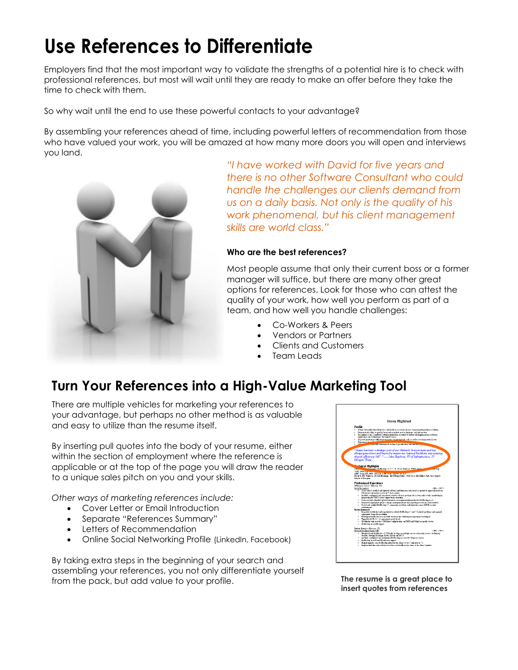## Use References to Differentiate

Employers find that the most important way to validate the strengths of a potential hire is to check with professional references, but most will wait until they are ready to make an offer before they take the time to check with them.

So why wait until the end to use these powerful contacts to your advantage?

By assembling your references ahead of time, including powerful letters of recommendation from those who have valued your work, you will be amazed at how many more doors you will open and interviews you land.



*"I have worked with David for five years and there is no other Software Consultant who could handle the challenges our clients demand from us on a daily basis. Not only is the quality of his work phenomenal, but his client management skills are world class."*

#### **Who are the best references?**

Most people assume that only their current boss or a former manager will suffice, but there are many other great options for references. Look for those who can attest the quality of your work, how well you perform as part of a team, and how well you handle challenges:

- Co-Workers & Peers
- Vendors or Partners
	- Clients and Customers
- Team Leads

## **Turn Your References into a High-Value Marketing Tool**

There are multiple vehicles for marketing your references to your advantage, but perhaps no other method is as valuable and easy to utilize than the resume itself.

By inserting pull quotes into the body of your resume, either within the section of employment where the reference is applicable or at the top of the page you will draw the reader to a unique sales pitch on you and your skills.

*Other ways of marketing references include:*

- Cover Letter or Email Introduction
- Separate "References Summary"
- Letters of Recommendation
- Online Social Networking Profile (LinkedIn, Facebook)

By taking extra steps in the beginning of your search and assembling your references, you not only differentiate yourself from the pack, but add value to your profile.



**The resume is a great place to insert quotes from references**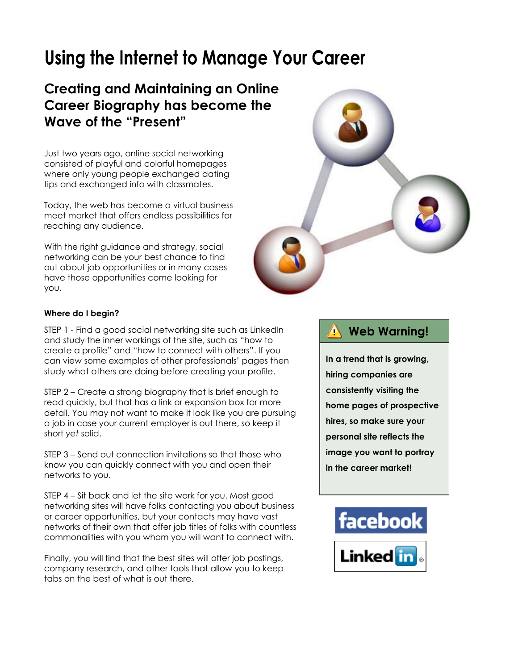## Using the Internet to Manage Your Career

## **Creating and Maintaining an Online Career Biography has become the Wave of the "Present"**

Just two years ago, online social networking consisted of playful and colorful homepages where only young people exchanged dating tips and exchanged info with classmates.

Today, the web has become a virtual business meet market that offers endless possibilities for reaching any audience.

With the right guidance and strategy, social networking can be your best chance to find out about job opportunities or in many cases have those opportunities come looking for you.



#### **Where do I begin?**

STEP 1 - Find a good social networking site such as LinkedIn and study the inner workings of the site, such as "how to create a profile" and "how to connect with others". If you can view some examples of other professionals' pages then study what others are doing before creating your profile.

STEP 2 – Create a strong biography that is brief enough to read quickly, but that has a link or expansion box for more detail. You may not want to make it look like you are pursuing a job in case your current employer is out there, so keep it short *yet* solid.

STEP 3 – Send out connection invitations so that those who know you can quickly connect with you and open their networks to you.

STEP 4 – Sit back and let the site work for you. Most good networking sites will have folks contacting you about business or career opportunities, but your contacts may have vast networks of their own that offer job titles of folks with countless commonalities with you whom you will want to connect with.

Finally, you will find that the best sites will offer job postings, company research, and other tools that allow you to keep tabs on the best of what is out there.

## **Web Warning!**

**In a trend that is growing, hiring companies are consistently visiting the home pages of prospective hires, so make sure your personal site reflects the image you want to portray in the career market!**

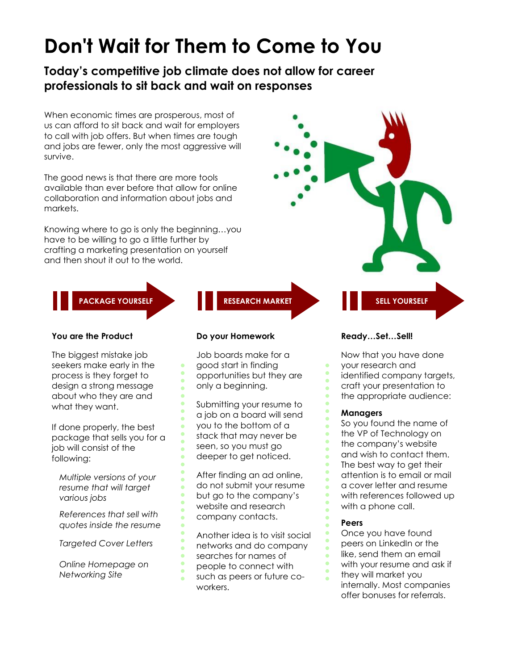## Don't Wait for Them to Come to You

**Today's competitive job climate does not allow for career professionals to sit back and wait on responses**

When economic times are prosperous, most of us can afford to sit back and wait for employers to call with job offers. But when times are tough and jobs are fewer, only the most aggressive will survive.

The good news is that there are more tools available than ever before that allow for online collaboration and information about jobs and markets.

Knowing where to go is only the beginning…you have to be willing to go a little further by crafting a marketing presentation on yourself and then shout it out to the world.



#### **You are the Product**

The biggest mistake job seekers make early in the process is they forget to design a strong message about who they are and what they want.

If done properly, the best package that sells you for a job will consist of the following:

*Multiple versions of your resume that will target various jobs*

*References that sell with quotes inside the resume*

*Targeted Cover Letters*

*Online Homepage on Networking Site*

#### **Do your Homework**

Job boards make for a good start in finding opportunities but they are only a beginning.

Submitting your resume to a job on a board will send you to the bottom of a stack that may never be seen, so you must go deeper to get noticed.

After finding an ad online, do not submit your resume but go to the company's website and research company contacts.

Another idea is to visit social networks and do company searches for names of people to connect with such as peers or future coworkers.

#### **Ready…Set…Sell!**

Now that you have done your research and identified company targets, craft your presentation to the appropriate audience:

#### **Managers**

So you found the name of the VP of Technology on the company's website and wish to contact them. The best way to get their attention is to email or mail a cover letter and resume with references followed up with a phone call.

#### **Peers**

Once you have found peers on LinkedIn or the like, send them an email with your resume and ask if they will market you

internally. Most companies offer bonuses for referrals.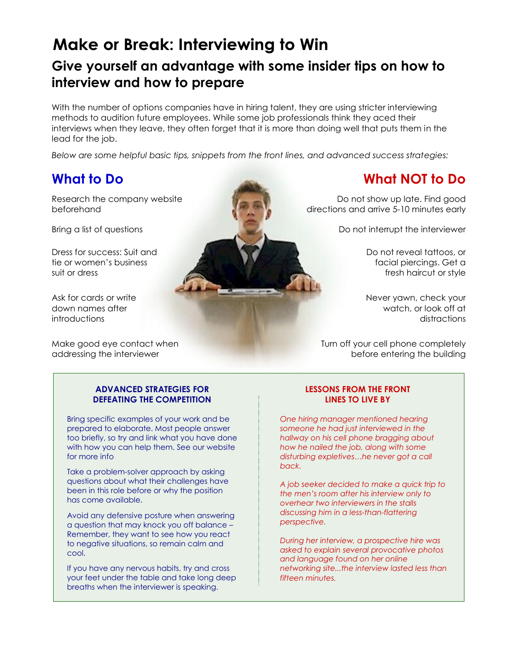## **Make or Break: Interviewing to Win**

## **Give yourself an advantage with some insider tips on how to interview and how to prepare**

With the number of options companies have in hiring talent, they are using stricter interviewing methods to audition future employees. While some job professionals think they aced their interviews when they leave, they often forget that it is more than doing well that puts them in the lead for the job.

*Below are some helpful basic tips, snippets from the front lines, and advanced success strategies:*

## **What to Do**

Research the company website beforehand

Bring a list of questions

Dress for success: Suit and tie or women's business suit or dress

Ask for cards or write down names after introductions

Make good eye contact when addressing the interviewer



## **What NOT to Do**

Do not show up late. Find good directions and arrive 5-10 minutes early

Do not interrupt the interviewer

Do not reveal tattoos, or facial piercings. Get a fresh haircut or style

Never yawn, check your watch, or look off at distractions

Turn off your cell phone completely before entering the building

#### **ADVANCED STRATEGIES FOR DEFEATING THE COMPETITION**

Bring specific examples of your work and be prepared to elaborate. Most people answer too briefly, so try and link what you have done with how you can help them. See our website for more info

Take a problem-solver approach by asking questions about what their challenges have been in this role before or why the position has come available.

Avoid any defensive posture when answering a question that may knock you off balance – Remember, they want to see how you react to negative situations, so remain calm and cool.

If you have any nervous habits, try and cross your feet under the table and take long deep breaths when the interviewer is speaking.

#### **LESSONS FROM THE FRONT LINES TO LIVE BY**

*One hiring manager mentioned hearing someone he had just interviewed in the hallway on his cell phone bragging about how he nailed the job, along with some disturbing expletives…he never got a call back.*

*A job seeker decided to make a quick trip to the men's room after his interview only to overhear two interviewers in the stalls discussing him in a less-than-flattering perspective.* 

*During her interview, a prospective hire was asked to explain several provocative photos and language found on her online networking site...the interview lasted less than fifteen minutes.*